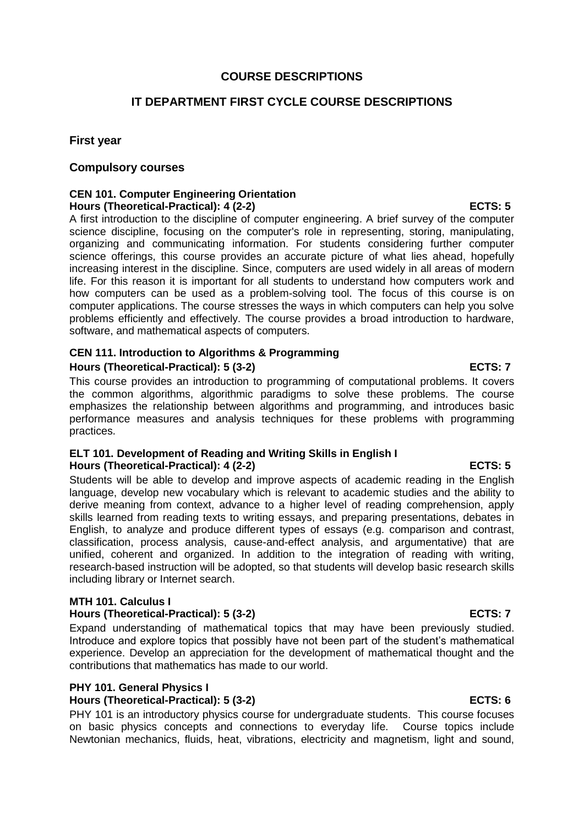# **COURSE DESCRIPTIONS**

# **IT DEPARTMENT FIRST CYCLE COURSE DESCRIPTIONS**

## **First year**

### **Compulsory courses**

### **CEN 101. Computer Engineering Orientation Hours (Theoretical-Practical): 4 (2-2) ECTS: 5**

A first introduction to the discipline of computer engineering. A brief survey of the computer science discipline, focusing on the computer's role in representing, storing, manipulating, organizing and communicating information. For students considering further computer science offerings, this course provides an accurate picture of what lies ahead, hopefully increasing interest in the discipline. Since, computers are used widely in all areas of modern life. For this reason it is important for all students to understand how computers work and how computers can be used as a problem-solving tool. The focus of this course is on computer applications. The course stresses the ways in which computers can help you solve problems efficiently and effectively. The course provides a broad introduction to hardware, software, and mathematical aspects of computers.

# **CEN 111. Introduction to Algorithms & Programming Hours (Theoretical-Practical): 5 (3-2) ECTS: 7**

This course provides an introduction to programming of computational problems. It covers the common algorithms, algorithmic paradigms to solve these problems. The course emphasizes the relationship between algorithms and programming, and introduces basic performance measures and analysis techniques for these problems with programming practices.

### **ELT 101. Development of Reading and Writing Skills in English I Hours (Theoretical-Practical): 4 (2-2) ECTS: 5**

Students will be able to develop and improve aspects of academic reading in the English language, develop new vocabulary which is relevant to academic studies and the ability to derive meaning from context, advance to a higher level of reading comprehension, apply skills learned from reading texts to writing essays, and preparing presentations, debates in English, to analyze and produce different types of essays (e.g. comparison and contrast, classification, process analysis, cause-and-effect analysis, and argumentative) that are unified, coherent and organized. In addition to the integration of reading with writing, research-based instruction will be adopted, so that students will develop basic research skills including library or Internet search.

### **MTH 101. Calculus I**

### **Hours (Theoretical-Practical): 5 (3-2) ECTS: 7**

Expand understanding of mathematical topics that may have been previously studied. Introduce and explore topics that possibly have not been part of the student's mathematical experience. Develop an appreciation for the development of mathematical thought and the contributions that mathematics has made to our world.

### **PHY 101. General Physics I**

### **Hours (Theoretical-Practical): 5 (3-2) ECTS: 6**

PHY 101 is an introductory physics course for undergraduate students. This course focuses on basic physics concepts and connections to everyday life. Course topics include Newtonian mechanics, fluids, heat, vibrations, electricity and magnetism, light and sound,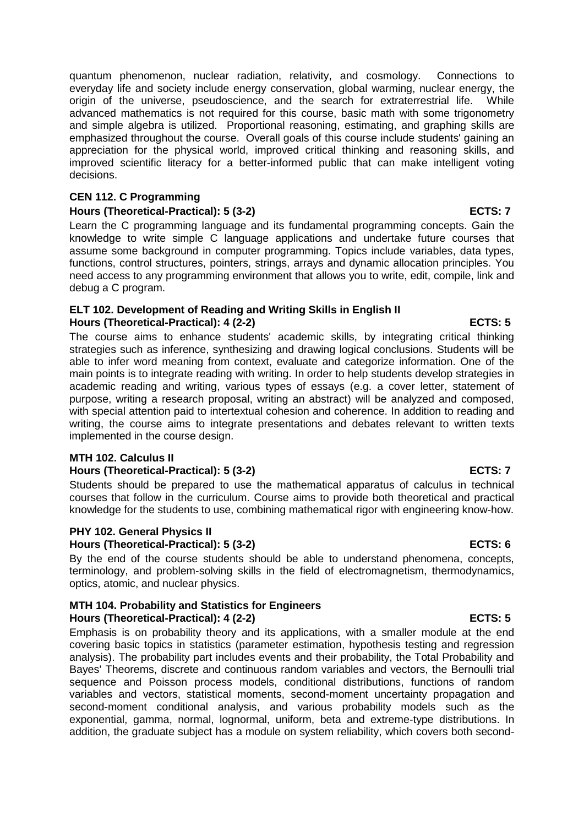quantum phenomenon, nuclear radiation, relativity, and cosmology. Connections to everyday life and society include energy conservation, global warming, nuclear energy, the origin of the universe, pseudoscience, and the search for extraterrestrial life. While advanced mathematics is not required for this course, basic math with some trigonometry and simple algebra is utilized. Proportional reasoning, estimating, and graphing skills are emphasized throughout the course. Overall goals of this course include students' gaining an appreciation for the physical world, improved critical thinking and reasoning skills, and improved scientific literacy for a better-informed public that can make intelligent voting decisions.

### **CEN 112. C Programming**

## Hours (Theoretical-Practical): 5 (3-2) **ECTS: 7**

Learn the C programming language and its fundamental programming concepts. Gain the knowledge to write simple C language applications and undertake future courses that assume some background in computer programming. Topics include variables, data types, functions, control structures, pointers, strings, arrays and dynamic allocation principles. You need access to any programming environment that allows you to write, edit, compile, link and debug a C program.

### **ELT 102. Development of Reading and Writing Skills in English II Hours (Theoretical-Practical): 4 (2-2) ECTS: 5**

The course aims to enhance students' academic skills, by integrating critical thinking strategies such as inference, synthesizing and drawing logical conclusions. Students will be able to infer word meaning from context, evaluate and categorize information. One of the main points is to integrate reading with writing. In order to help students develop strategies in academic reading and writing, various types of essays (e.g. a cover letter, statement of purpose, writing a research proposal, writing an abstract) will be analyzed and composed, with special attention paid to intertextual cohesion and coherence. In addition to reading and writing, the course aims to integrate presentations and debates relevant to written texts implemented in the course design.

### **MTH 102. Calculus II**

### **Hours (Theoretical-Practical): 5 (3-2) ECTS: 7**

Students should be prepared to use the mathematical apparatus of calculus in technical courses that follow in the curriculum. Course aims to provide both theoretical and practical knowledge for the students to use, combining mathematical rigor with engineering know-how.

### **PHY 102. General Physics II Hours (Theoretical-Practical): 5 (3-2) ECTS: 6**

By the end of the course students should be able to understand phenomena, concepts, terminology, and problem-solving skills in the field of electromagnetism, thermodynamics, optics, atomic, and nuclear physics.

### **MTH 104. Probability and Statistics for Engineers Hours (Theoretical-Practical): 4 (2-2) ECTS: 5**

Emphasis is on probability theory and its applications, with a smaller module at the end covering basic topics in statistics (parameter estimation, hypothesis testing and regression analysis). The probability part includes events and their probability, the Total Probability and Bayes' Theorems, discrete and continuous random variables and vectors, the Bernoulli trial sequence and Poisson process models, conditional distributions, functions of random variables and vectors, statistical moments, second-moment uncertainty propagation and second-moment conditional analysis, and various probability models such as the exponential, gamma, normal, lognormal, uniform, beta and extreme-type distributions. In addition, the graduate subject has a module on system reliability, which covers both second-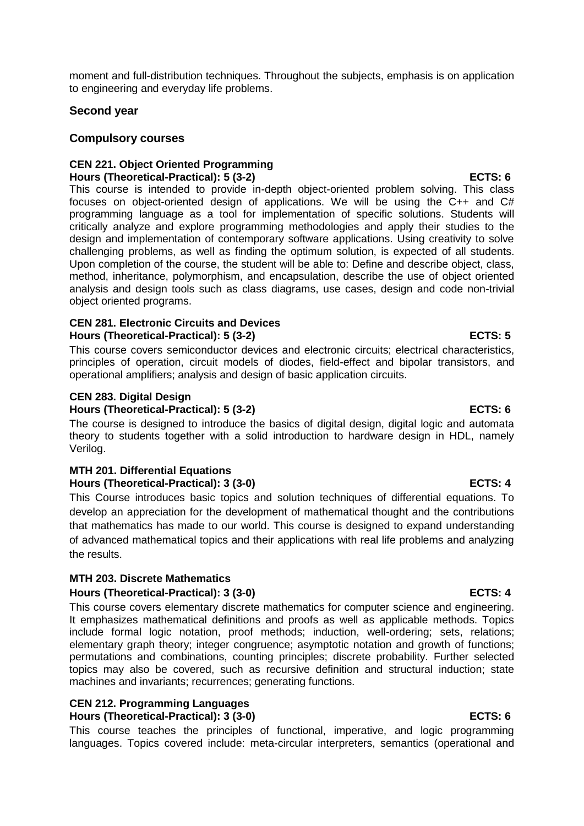moment and full-distribution techniques. Throughout the subjects, emphasis is on application to engineering and everyday life problems.

# **Second year**

# **Compulsory courses**

# **CEN 221. Object Oriented Programming Hours (Theoretical-Practical): 5 (3-2) ECTS: 6**

This course is intended to provide in-depth object-oriented problem solving. This class focuses on object-oriented design of applications. We will be using the C++ and C# programming language as a tool for implementation of specific solutions. Students will critically analyze and explore programming methodologies and apply their studies to the design and implementation of contemporary software applications. Using creativity to solve challenging problems, as well as finding the optimum solution, is expected of all students. Upon completion of the course, the student will be able to: Define and describe object, class, method, inheritance, polymorphism, and encapsulation, describe the use of object oriented analysis and design tools such as class diagrams, use cases, design and code non-trivial object oriented programs.

## **CEN 281. Electronic Circuits and Devices Hours (Theoretical-Practical): 5 (3-2) ECTS: 5**

This course covers semiconductor devices and electronic circuits; electrical characteristics, principles of operation, circuit models of diodes, field-effect and bipolar transistors, and operational amplifiers; analysis and design of basic application circuits.

# **CEN 283. Digital Design**

# **Hours (Theoretical-Practical): 5 (3-2) ECTS: 6**

The course is designed to introduce the basics of digital design, digital logic and automata theory to students together with a solid introduction to hardware design in HDL, namely Verilog.

# **MTH 201. Differential Equations Hours (Theoretical-Practical): 3 (3-0) ECTS: 4**

This Course introduces basic topics and solution techniques of differential equations. To develop an appreciation for the development of mathematical thought and the contributions that mathematics has made to our world. This course is designed to expand understanding of advanced mathematical topics and their applications with real life problems and analyzing the results.

# **MTH 203. Discrete Mathematics Hours (Theoretical-Practical): 3 (3-0) ECTS: 4**

This course covers elementary discrete mathematics for computer science and engineering. It emphasizes mathematical definitions and proofs as well as applicable methods. Topics include formal logic notation, proof methods; induction, well-ordering; sets, relations; elementary graph theory; integer congruence; asymptotic notation and growth of functions; permutations and combinations, counting principles; discrete probability. Further selected topics may also be covered, such as recursive definition and structural induction; state machines and invariants; recurrences; generating functions.

### **CEN 212. Programming Languages Hours (Theoretical-Practical): 3 (3-0) ECTS: 6**

This course teaches the principles of functional, imperative, and logic programming languages. Topics covered include: meta-circular interpreters, semantics (operational and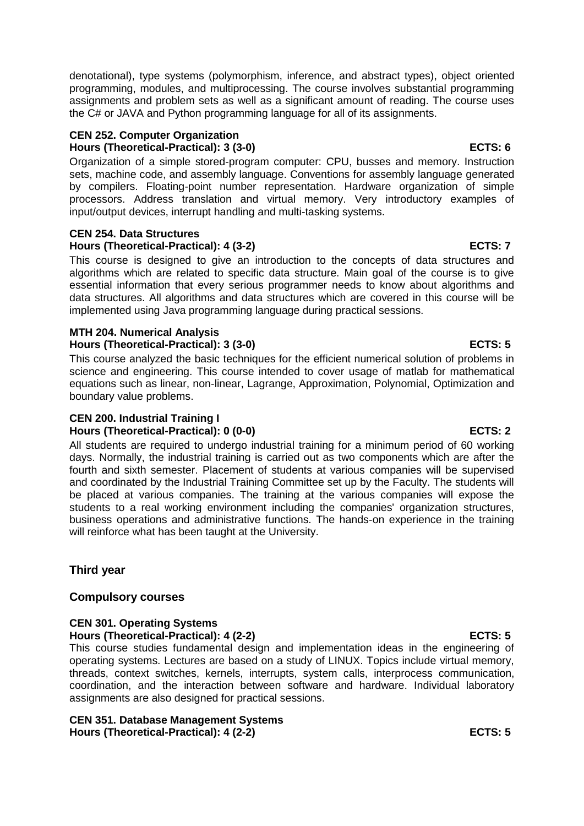denotational), type systems (polymorphism, inference, and abstract types), object oriented programming, modules, and multiprocessing. The course involves substantial programming assignments and problem sets as well as a significant amount of reading. The course uses the C# or JAVA and Python programming language for all of its assignments.

### **CEN 252. Computer Organization Hours (Theoretical-Practical): 3 (3-0) ECTS: 6**

Organization of a simple stored-program computer: CPU, busses and memory. Instruction sets, machine code, and assembly language. Conventions for assembly language generated by compilers. Floating-point number representation. Hardware organization of simple processors. Address translation and virtual memory. Very introductory examples of input/output devices, interrupt handling and multi-tasking systems.

# **CEN 254. Data Structures**

## **Hours (Theoretical-Practical): 4 (3-2) ECTS: 7**

This course is designed to give an introduction to the concepts of data structures and algorithms which are related to specific data structure. Main goal of the course is to give essential information that every serious programmer needs to know about algorithms and data structures. All algorithms and data structures which are covered in this course will be implemented using Java programming language during practical sessions.

### **MTH 204. Numerical Analysis Hours (Theoretical-Practical): 3 (3-0) ECTS: 5**

This course analyzed the basic techniques for the efficient numerical solution of problems in science and engineering. This course intended to cover usage of matlab for mathematical equations such as linear, non-linear, Lagrange, Approximation, Polynomial, Optimization and boundary value problems.

### **CEN 200. Industrial Training I Hours (Theoretical-Practical): 0 (0-0) ECTS: 2**

All students are required to undergo industrial training for a minimum period of 60 working days. Normally, the industrial training is carried out as two components which are after the fourth and sixth semester. Placement of students at various companies will be supervised and coordinated by the Industrial Training Committee set up by the Faculty. The students will be placed at various companies. The training at the various companies will expose the students to a real working environment including the companies' organization structures, business operations and administrative functions. The hands-on experience in the training will reinforce what has been taught at the University.

# **Third year**

# **Compulsory courses**

# **CEN 301. Operating Systems**

**Hours (Theoretical-Practical): 4 (2-2) ECTS: 5**

This course studies fundamental design and implementation ideas in the engineering of operating systems. Lectures are based on a study of LINUX. Topics include virtual memory, threads, context switches, kernels, interrupts, system calls, interprocess communication, coordination, and the interaction between software and hardware. Individual laboratory assignments are also designed for practical sessions.

### **CEN 351. Database Management Systems Hours (Theoretical-Practical): 4 (2-2) ECTS: 5**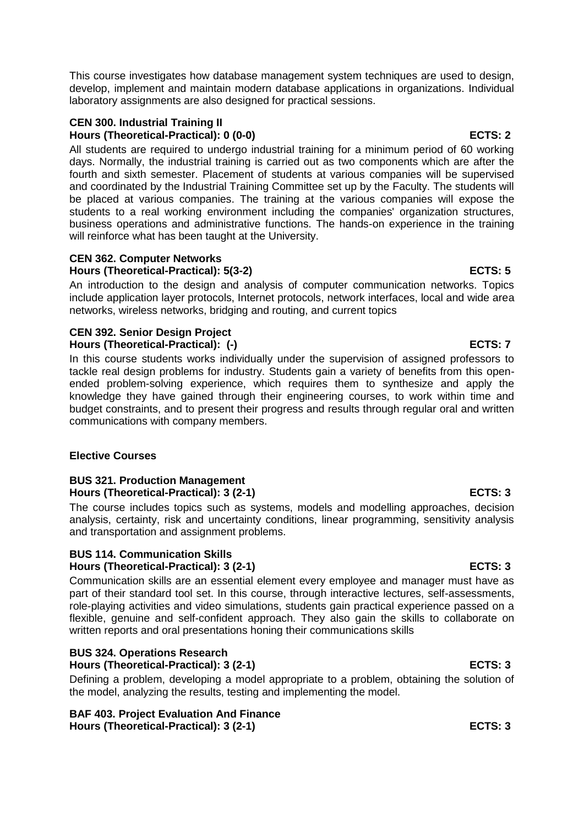This course investigates how database management system techniques are used to design, develop, implement and maintain modern database applications in organizations. Individual laboratory assignments are also designed for practical sessions.

# **CEN 300. Industrial Training II Hours (Theoretical-Practical): 0 (0-0) ECTS: 2**

All students are required to undergo industrial training for a minimum period of 60 working days. Normally, the industrial training is carried out as two components which are after the fourth and sixth semester. Placement of students at various companies will be supervised and coordinated by the Industrial Training Committee set up by the Faculty. The students will be placed at various companies. The training at the various companies will expose the students to a real working environment including the companies' organization structures, business operations and administrative functions. The hands-on experience in the training will reinforce what has been taught at the University.

# **CEN 362. Computer Networks Hours (Theoretical-Practical): 5(3-2) ECTS: 5**

An introduction to the design and analysis of computer communication networks. Topics include application layer protocols, Internet protocols, network interfaces, local and wide area networks, wireless networks, bridging and routing, and current topics

# **CEN 392. Senior Design Project Hours (Theoretical-Practical): (-)** And the set of the set of the set of the set of the set of the set of the set of the set of the set of the set of the set of the set of the set of the set of the set of the set of the s

In this course students works individually under the supervision of assigned professors to tackle real design problems for industry. Students gain a variety of benefits from this openended problem-solving experience, which requires them to synthesize and apply the knowledge they have gained through their engineering courses, to work within time and budget constraints, and to present their progress and results through regular oral and written communications with company members.

# **Elective Courses**

# **BUS 321. Production Management Hours (Theoretical-Practical): 3 (2-1) ECTS: 3**

The course includes topics such as systems, models and modelling approaches, decision analysis, certainty, risk and uncertainty conditions, linear programming, sensitivity analysis and transportation and assignment problems.

# **BUS 114. Communication Skills**

# **Hours (Theoretical-Practical): 3 (2-1) ECTS: 3**

Communication skills are an essential element every employee and manager must have as part of their standard tool set. In this course, through interactive lectures, self-assessments, role-playing activities and video simulations, students gain practical experience passed on a flexible, genuine and self-confident approach. They also gain the skills to collaborate on written reports and oral presentations honing their communications skills

# **BUS 324. Operations Research Hours (Theoretical-Practical): 3 (2-1) ECTS: 3**

Defining a problem, developing a model appropriate to a problem, obtaining the solution of the model, analyzing the results, testing and implementing the model.

**BAF 403. Project Evaluation And Finance Hours (Theoretical-Practical): 3 (2-1) ECTS: 3**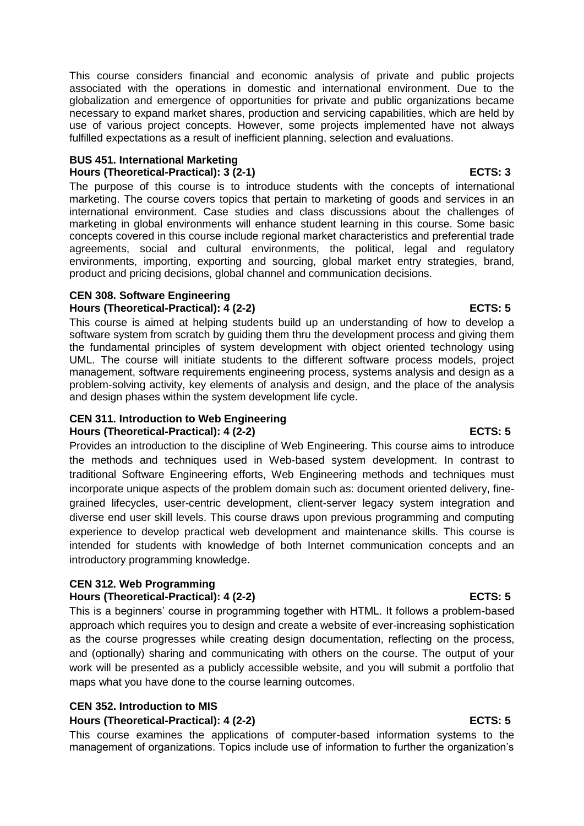This course considers financial and economic analysis of private and public projects associated with the operations in domestic and international environment. Due to the globalization and emergence of opportunities for private and public organizations became necessary to expand market shares, production and servicing capabilities, which are held by use of various project concepts. However, some projects implemented have not always fulfilled expectations as a result of inefficient planning, selection and evaluations.

### **BUS 451. International Marketing Hours (Theoretical-Practical): 3 (2-1) ECTS: 3**

The purpose of this course is to introduce students with the concepts of international marketing. The course covers topics that pertain to marketing of goods and services in an international environment. Case studies and class discussions about the challenges of marketing in global environments will enhance student learning in this course. Some basic concepts covered in this course include regional market characteristics and preferential trade agreements, social and cultural environments, the political, legal and regulatory environments, importing, exporting and sourcing, global market entry strategies, brand, product and pricing decisions, global channel and communication decisions.

# **CEN 308. Software Engineering**

**Hours (Theoretical-Practical): 4 (2-2) ECTS: 5**

This course is aimed at helping students build up an understanding of how to develop a software system from scratch by guiding them thru the development process and giving them the fundamental principles of system development with object oriented technology using UML. The course will initiate students to the different software process models, project management, software requirements engineering process, systems analysis and design as a problem-solving activity, key elements of analysis and design, and the place of the analysis and design phases within the system development life cycle.

### **CEN 311. Introduction to Web Engineering** Hours (Theoretical-Practical): 4 (2-2) **ECTS: 5** ECTS: 5

Provides an introduction to the discipline of Web Engineering. This course aims to introduce the methods and techniques used in Web-based system development. In contrast to traditional Software Engineering efforts, Web Engineering methods and techniques must incorporate unique aspects of the problem domain such as: document oriented delivery, finegrained lifecycles, user-centric development, client-server legacy system integration and diverse end user skill levels. This course draws upon previous programming and computing experience to develop practical web development and maintenance skills. This course is intended for students with knowledge of both Internet communication concepts and an introductory programming knowledge.

# **CEN 312. Web Programming**

# Hours (Theoretical-Practical): 4 (2-2) ECTS: 5

This is a beginners' course in programming together with HTML. It follows a problem-based approach which requires you to design and create a website of ever-increasing sophistication as the course progresses while creating design documentation, reflecting on the process, and (optionally) sharing and communicating with others on the course. The output of your work will be presented as a publicly accessible website, and you will submit a portfolio that maps what you have done to the course learning outcomes.

# **CEN 352. Introduction to MIS**

# **Hours (Theoretical-Practical): 4 (2-2) ECTS: 5**

This course examines the applications of computer-based information systems to the management of organizations. Topics include use of information to further the organization's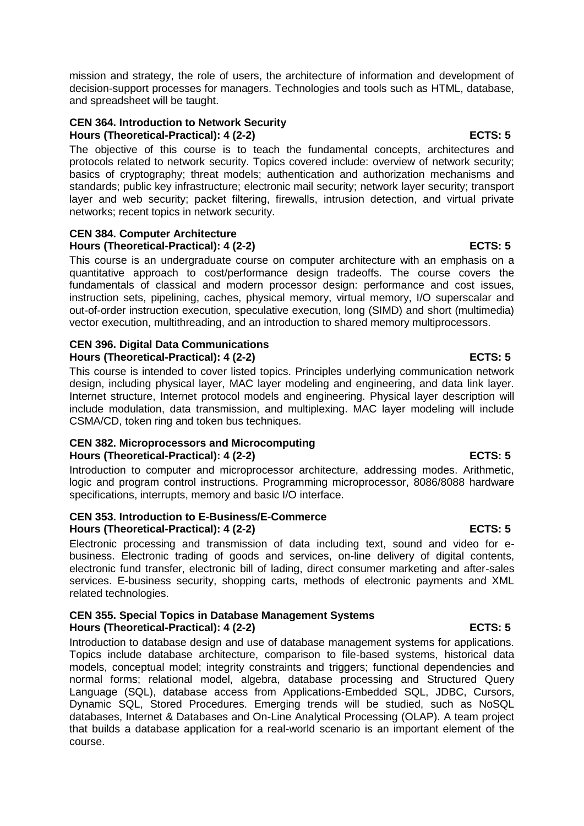mission and strategy, the role of users, the architecture of information and development of decision-support processes for managers. Technologies and tools such as HTML, database, and spreadsheet will be taught.

### **CEN 364. Introduction to Network Security Hours (Theoretical-Practical): 4 (2-2) ECTS: 5**

The objective of this course is to teach the fundamental concepts, architectures and protocols related to network security. Topics covered include: overview of network security; basics of cryptography; threat models; authentication and authorization mechanisms and standards; public key infrastructure; electronic mail security; network layer security; transport layer and web security; packet filtering, firewalls, intrusion detection, and virtual private networks; recent topics in network security.

### **CEN 384. Computer Architecture Hours (Theoretical-Practical): 4 (2-2) ECTS: 5**

This course is an undergraduate course on computer architecture with an emphasis on a quantitative approach to cost/performance design tradeoffs. The course covers the fundamentals of classical and modern processor design: performance and cost issues, instruction sets, pipelining, caches, physical memory, virtual memory, I/O superscalar and out-of-order instruction execution, speculative execution, long (SIMD) and short (multimedia) vector execution, multithreading, and an introduction to shared memory multiprocessors.

## **CEN 396. Digital Data Communications** Hours (Theoretical-Practical): 4 (2-2) ECTS: 5

This course is intended to cover listed topics. Principles underlying communication network design, including physical layer, MAC layer modeling and engineering, and data link layer. Internet structure, Internet protocol models and engineering. Physical layer description will include modulation, data transmission, and multiplexing. MAC layer modeling will include CSMA/CD, token ring and token bus techniques.

### **CEN 382. Microprocessors and Microcomputing** Hours (Theoretical-Practical): 4 (2-2) ECTS: 5

Introduction to computer and microprocessor architecture, addressing modes. Arithmetic, logic and program control instructions. Programming microprocessor, 8086/8088 hardware specifications, interrupts, memory and basic I/O interface.

### **CEN 353. Introduction to E-Business/E-Commerce Hours (Theoretical-Practical): 4 (2-2) ECTS: 5**

Electronic processing and transmission of data including text, sound and video for ebusiness. Electronic trading of goods and services, on-line delivery of digital contents, electronic fund transfer, electronic bill of lading, direct consumer marketing and after-sales services. E-business security, shopping carts, methods of electronic payments and XML related technologies.

# **CEN 355. Special Topics in Database Management Systems Hours (Theoretical-Practical): 4 (2-2) ECTS: 5**

Introduction to database design and use of database management systems for applications. Topics include database architecture, comparison to file-based systems, historical data models, conceptual model; integrity constraints and triggers; functional dependencies and normal forms; relational model, algebra, database processing and Structured Query Language (SQL), database access from Applications-Embedded SQL, JDBC, Cursors, Dynamic SQL, Stored Procedures. Emerging trends will be studied, such as NoSQL databases, Internet & Databases and On-Line Analytical Processing (OLAP). A team project that builds a database application for a real-world scenario is an important element of the course.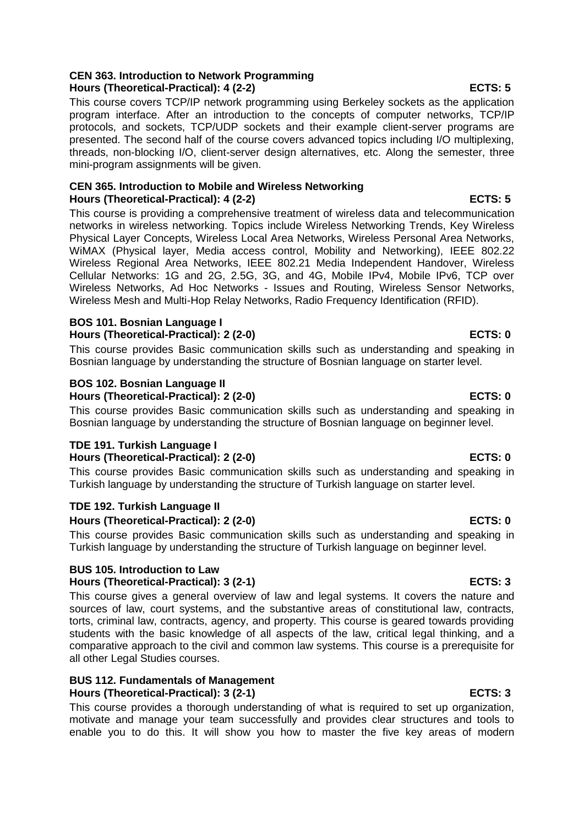# **CEN 363. Introduction to Network Programming Hours (Theoretical-Practical): 4 (2-2) ECTS: 5**

This course covers TCP/IP network programming using Berkeley sockets as the application program interface. After an introduction to the concepts of computer networks, TCP/IP protocols, and sockets, TCP/UDP sockets and their example client-server programs are presented. The second half of the course covers advanced topics including I/O multiplexing, threads, non-blocking I/O, client-server design alternatives, etc. Along the semester, three mini-program assignments will be given.

# **CEN 365. Introduction to Mobile and Wireless Networking Hours (Theoretical-Practical): 4 (2-2) ECTS: 5**

This course is providing a comprehensive treatment of wireless data and telecommunication networks in wireless networking. Topics include Wireless Networking Trends, Key Wireless Physical Layer Concepts, Wireless Local Area Networks, Wireless Personal Area Networks, WiMAX (Physical layer, Media access control, Mobility and Networking), IEEE 802.22 Wireless Regional Area Networks, IEEE 802.21 Media Independent Handover, Wireless Cellular Networks: 1G and 2G, 2.5G, 3G, and 4G, Mobile IPv4, Mobile IPv6, TCP over Wireless Networks, Ad Hoc Networks - Issues and Routing, Wireless Sensor Networks, Wireless Mesh and Multi-Hop Relay Networks, Radio Frequency Identification (RFID).

# **BOS 101. Bosnian Language I** Hours (Theoretical-Practical): 2 (2-0) **ECTS: 0**

This course provides Basic communication skills such as understanding and speaking in Bosnian language by understanding the structure of Bosnian language on starter level.

# **BOS 102. Bosnian Language II**

**Hours (Theoretical-Practical): 2 (2-0) ECTS: 0**

This course provides Basic communication skills such as understanding and speaking in Bosnian language by understanding the structure of Bosnian language on beginner level.

# **TDE 191. Turkish Language I** Hours (Theoretical-Practical): 2 (2-0) **ECTS: 0**

This course provides Basic communication skills such as understanding and speaking in Turkish language by understanding the structure of Turkish language on starter level.

# **TDE 192. Turkish Language II**

# **Hours (Theoretical-Practical): 2 (2-0) ECTS: 0**

This course provides Basic communication skills such as understanding and speaking in Turkish language by understanding the structure of Turkish language on beginner level.

# **BUS 105. Introduction to Law**

# Hours (Theoretical-Practical): 3 (2-1) **ECTS: 3**

This course gives a general overview of law and legal systems. It covers the nature and sources of law, court systems, and the substantive areas of constitutional law, contracts, torts, criminal law, contracts, agency, and property. This course is geared towards providing students with the basic knowledge of all aspects of the law, critical legal thinking, and a comparative approach to the civil and common law systems. This course is a prerequisite for all other Legal Studies courses.

# **BUS 112. Fundamentals of Management Hours (Theoretical-Practical): 3 (2-1) ECTS: 3**

This course provides a thorough understanding of what is required to set up organization, motivate and manage your team successfully and provides clear structures and tools to enable you to do this. It will show you how to master the five key areas of modern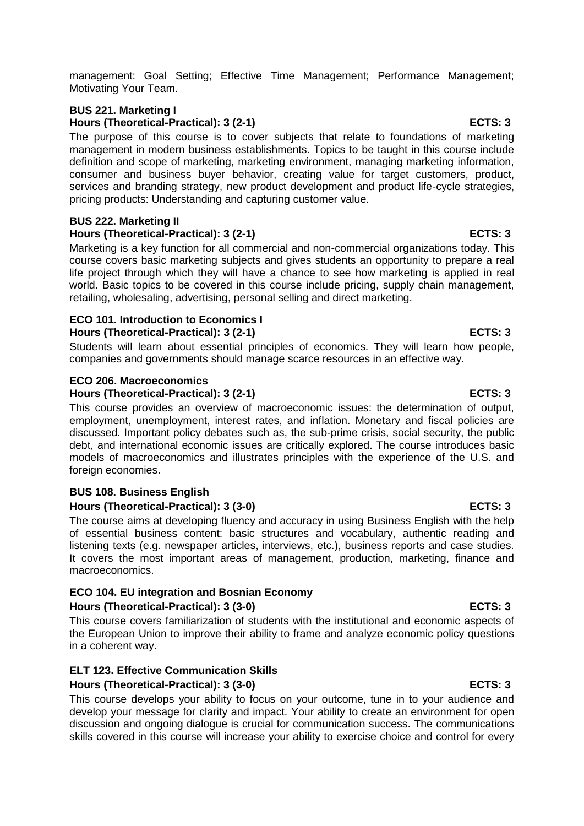management: Goal Setting; Effective Time Management; Performance Management; Motivating Your Team.

# **BUS 221. Marketing I** Hours (Theoretical-Practical): 3 (2-1) **ECTS: 3**

The purpose of this course is to cover subjects that relate to foundations of marketing management in modern business establishments. Topics to be taught in this course include definition and scope of marketing, marketing environment, managing marketing information, consumer and business buyer behavior, creating value for target customers, product, services and branding strategy, new product development and product life-cycle strategies, pricing products: Understanding and capturing customer value.

### **BUS 222. Marketing II Hours (Theoretical-Practical): 3 (2-1) ECTS: 3**

Marketing is a key function for all commercial and non-commercial organizations today. This course covers basic marketing subjects and gives students an opportunity to prepare a real life project through which they will have a chance to see how marketing is applied in real world. Basic topics to be covered in this course include pricing, supply chain management, retailing, wholesaling, advertising, personal selling and direct marketing.

# **ECO 101. Introduction to Economics I**

# **Hours (Theoretical-Practical): 3 (2-1) ECTS: 3**

Students will learn about essential principles of economics. They will learn how people, companies and governments should manage scarce resources in an effective way.

# **ECO 206. Macroeconomics**

## **Hours (Theoretical-Practical): 3 (2-1) ECTS: 3**

This course provides an overview of macroeconomic issues: the determination of output, employment, unemployment, interest rates, and inflation. Monetary and fiscal policies are discussed. Important policy debates such as, the sub-prime crisis, social security, the public debt, and international economic issues are critically explored. The course introduces basic models of macroeconomics and illustrates principles with the experience of the U.S. and foreign economies.

# **BUS 108. Business English**

# **Hours (Theoretical-Practical): 3 (3-0) ECTS: 3**

The course aims at developing fluency and accuracy in using Business English with the help of essential business content: basic structures and vocabulary, authentic reading and listening texts (e.g. newspaper articles, interviews, etc.), business reports and case studies. It covers the most important areas of management, production, marketing, finance and macroeconomics.

# **ECO 104. EU integration and Bosnian Economy**

# **Hours (Theoretical-Practical): 3 (3-0) ECTS: 3**

This course covers familiarization of students with the institutional and economic aspects of the European Union to improve their ability to frame and analyze economic policy questions in a coherent way.

# **ELT 123. Effective Communication Skills**

# **Hours (Theoretical-Practical): 3 (3-0) ECTS: 3**

This course develops your ability to focus on your outcome, tune in to your audience and develop your message for clarity and impact. Your ability to create an environment for open discussion and ongoing dialogue is crucial for communication success. The communications skills covered in this course will increase your ability to exercise choice and control for every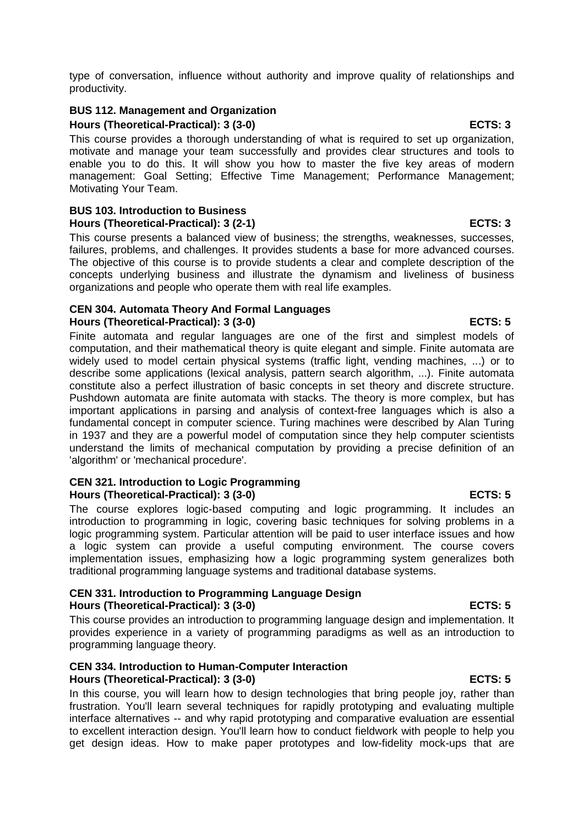type of conversation, influence without authority and improve quality of relationships and productivity.

### **BUS 112. Management and Organization Hours (Theoretical-Practical): 3 (3-0) ECTS: 3**

This course provides a thorough understanding of what is required to set up organization, motivate and manage your team successfully and provides clear structures and tools to enable you to do this. It will show you how to master the five key areas of modern management: Goal Setting; Effective Time Management; Performance Management; Motivating Your Team.

### **BUS 103. Introduction to Business Hours (Theoretical-Practical): 3 (2-1) ECTS: 3**

This course presents a balanced view of business; the strengths, weaknesses, successes, failures, problems, and challenges. It provides students a base for more advanced courses. The objective of this course is to provide students a clear and complete description of the concepts underlying business and illustrate the dynamism and liveliness of business organizations and people who operate them with real life examples.

### **CEN 304. Automata Theory And Formal Languages Hours (Theoretical-Practical): 3 (3-0) ECTS: 5**

Finite automata and regular languages are one of the first and simplest models of computation, and their mathematical theory is quite elegant and simple. Finite automata are widely used to model certain physical systems (traffic light, vending machines, ...) or to describe some applications (lexical analysis, pattern search algorithm, ...). Finite automata constitute also a perfect illustration of basic concepts in set theory and discrete structure. Pushdown automata are finite automata with stacks. The theory is more complex, but has important applications in parsing and analysis of context-free languages which is also a fundamental concept in computer science. Turing machines were described by Alan Turing in 1937 and they are a powerful model of computation since they help computer scientists understand the limits of mechanical computation by providing a precise definition of an 'algorithm' or 'mechanical procedure'.

## **CEN 321. Introduction to Logic Programming Hours (Theoretical-Practical): 3 (3-0) ECTS: 5**

The course explores logic-based computing and logic programming. It includes an introduction to programming in logic, covering basic techniques for solving problems in a logic programming system. Particular attention will be paid to user interface issues and how a logic system can provide a useful computing environment. The course covers implementation issues, emphasizing how a logic programming system generalizes both traditional programming language systems and traditional database systems.

### **CEN 331. Introduction to Programming Language Design** Hours (Theoretical-Practical): 3 (3-0) **ECTS: 5**

This course provides an introduction to programming language design and implementation. It provides experience in a variety of programming paradigms as well as an introduction to programming language theory.

## **CEN 334. Introduction to Human-Computer Interaction Hours (Theoretical-Practical): 3 (3-0) ECTS: 5**

In this course, you will learn how to design technologies that bring people joy, rather than frustration. You'll learn several techniques for rapidly prototyping and evaluating multiple interface alternatives -- and why rapid prototyping and comparative evaluation are essential to excellent interaction design. You'll learn how to conduct fieldwork with people to help you get design ideas. How to make paper prototypes and low-fidelity mock-ups that are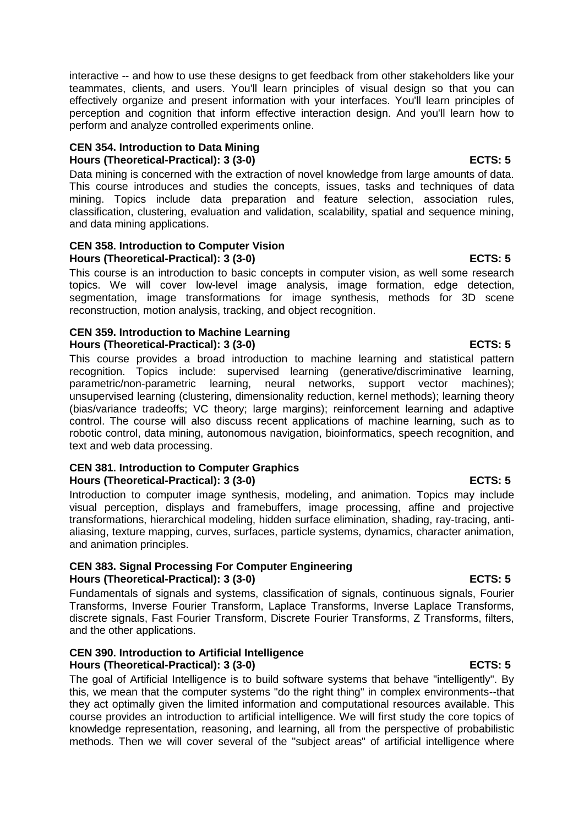interactive -- and how to use these designs to get feedback from other stakeholders like your teammates, clients, and users. You'll learn principles of visual design so that you can effectively organize and present information with your interfaces. You'll learn principles of perception and cognition that inform effective interaction design. And you'll learn how to perform and analyze controlled experiments online.

## **CEN 354. Introduction to Data Mining Hours (Theoretical-Practical): 3 (3-0) ECTS: 5**

Data mining is concerned with the extraction of novel knowledge from large amounts of data. This course introduces and studies the concepts, issues, tasks and techniques of data mining. Topics include data preparation and feature selection, association rules, classification, clustering, evaluation and validation, scalability, spatial and sequence mining, and data mining applications.

### **CEN 358. Introduction to Computer Vision Hours (Theoretical-Practical): 3 (3-0) ECTS: 5**

This course is an introduction to basic concepts in computer vision, as well some research topics. We will cover low-level image analysis, image formation, edge detection, segmentation, image transformations for image synthesis, methods for 3D scene reconstruction, motion analysis, tracking, and object recognition.

## **CEN 359. Introduction to Machine Learning Hours (Theoretical-Practical): 3 (3-0) ECTS: 5**

This course provides a broad introduction to machine learning and statistical pattern recognition. Topics include: supervised learning (generative/discriminative learning, parametric/non-parametric learning, neural networks, support vector machines); unsupervised learning (clustering, dimensionality reduction, kernel methods); learning theory (bias/variance tradeoffs; VC theory; large margins); reinforcement learning and adaptive control. The course will also discuss recent applications of machine learning, such as to robotic control, data mining, autonomous navigation, bioinformatics, speech recognition, and text and web data processing.

### **CEN 381. Introduction to Computer Graphics Hours (Theoretical-Practical): 3 (3-0) ECTS: 5**

Introduction to computer image synthesis, modeling, and animation. Topics may include visual perception, displays and framebuffers, image processing, affine and projective transformations, hierarchical modeling, hidden surface elimination, shading, ray-tracing, antialiasing, texture mapping, curves, surfaces, particle systems, dynamics, character animation, and animation principles.

### **CEN 383. Signal Processing For Computer Engineering Hours (Theoretical-Practical): 3 (3-0) ECTS: 5**

Fundamentals of signals and systems, classification of signals, continuous signals, Fourier Transforms, Inverse Fourier Transform, Laplace Transforms, Inverse Laplace Transforms, discrete signals, Fast Fourier Transform, Discrete Fourier Transforms, Z Transforms, filters, and the other applications.

### **CEN 390. Introduction to Artificial Intelligence Hours (Theoretical-Practical): 3 (3-0) ECTS: 5**

The goal of Artificial Intelligence is to build software systems that behave "intelligently". By this, we mean that the computer systems "do the right thing" in complex environments--that they act optimally given the limited information and computational resources available. This course provides an introduction to artificial intelligence. We will first study the core topics of knowledge representation, reasoning, and learning, all from the perspective of probabilistic methods. Then we will cover several of the "subject areas" of artificial intelligence where